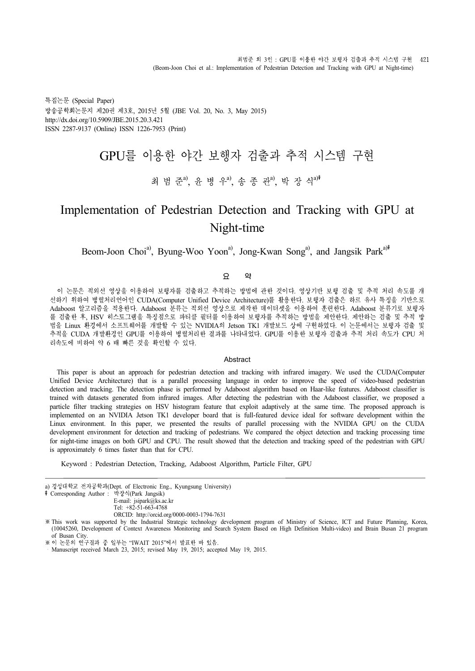특집논문 (Special Paper) 방송공학회논문지 제20권 제3호, 2015년 5월 (JBE Vol. 20, No. 3, May 2015) http://dx.doi.org/10.5909/JBE.2015.20.3.421 ISSN 2287-9137 (Online) ISSN 1226-7953 (Print)

# GPU를 이용한 야간 보행자 검출과 추적 시스템 구현

## 최 범 준<sup>a)</sup>, 윤 병 우<sup>a)</sup>, 송 종 관<sup>a)</sup>, 박 장 식<sup>a)‡</sup>

## Implementation of Pedestrian Detection and Tracking with GPU at Night-time

## Beom-Joon Choi<sup>a</sup>, Byung-Woo Yoon<sup>a</sup>, Jong-Kwan Song<sup>a</sup>, and Jangsik Park<sup>a)‡</sup>

#### 요 약

이 논문은 적외선 영상을 이용하여 보행자를 검출하고 추적하는 방법에 관한 것이다. 영상기반 보행 검출 및 추적 처리 속도를 개 선하기 위하여 병렬처리언어인 CUDA(Computer Unified Device Architecture)를 활용한다. 보행자 검출은 하르 유사 특징을 기반으로 Adaboost 알고리즘을 적용한다. Adaboost 분류는 적외선 영상으로 제작한 데이터셋을 이용하여 훈련한다. Adaboost 분류기로 보행자 를 검출한 후, HSV 히스토그램을 특징점으로 파티클 필터를 이용하여 보행자를 추적하는 방법을 제안한다. 제안하는 검출 및 추적 방 법을 Linux 환경에서 소프트웨어를 개발할 수 있는 NVIDIA의 Jetson TK1 개발보드 상에 구현하였다. 이 논문에서는 보행자 검출 및 추적을 CUDA 개발환경인 GPU를 이용하여 병렬처리한 결과를 나타내었다. GPU를 이용한 보행자 검출과 추적 처리 속도가 CPU 처 리속도에 비하여 약 6 배 빠른 것을 확인할 수 있다.

#### **Abstract**

This paper is about an approach for pedestrian detection and tracking with infrared imagery. We used the CUDA(Computer Unified Device Architecture) that is a parallel processing language in order to improve the speed of video-based pedestrian detection and tracking. The detection phase is performed by Adaboost algorithm based on Haar-like features. Adaboost classifier is trained with datasets generated from infrared images. After detecting the pedestrian with the Adaboost classifier, we proposed a particle filter tracking strategies on HSV histogram feature that exploit adaptively at the s implemented on an NVIDIA Jetson TK1 developer board that is full-featured device ideal for software development within the Linux environment. In this paper, we presented the results of parallel processing with the NVIDIA GPU on the CUDA development environment for detection and tracking of pedestrians. We compared the object detection and tracking processing time for night-time images on both GPU and CPU. The result showed that the detection and tracking speed of the pedestrian with GPU is approximately 6 times faster than that for CPU.

Keyword : Pedestrian Detection, Tracking, Adaboost Algorithm, Particle Filter, GPU

- a) 경성대학교 전자공학과(Dept. of Electronic Eng., Kyungsung University)
- ‡Corresponding Author : 박장식(Park Jangsik)
	- E-mail: jsipark@ks.ac.kr

Tel: +82-51-663-4768

ORCID: http://orcid.org/0000-0003-1794-7631

※This work was supported by the Industrial Strategic technology development program of Ministry of Science, ICT and Future Planning, Korea, (10045260, Development of Context Awareness Monitoring and Search System Based on High Definition Multi-video) and Brain Busan 21 program of Busan City.

<sup>※</sup>이 논문의 연구결과 중 일부는 "IWAIT 2015"에서 발표한 바 있음.

Manuscript received March 23, 2015; revised May 19, 2015; accepted May 19, 2015.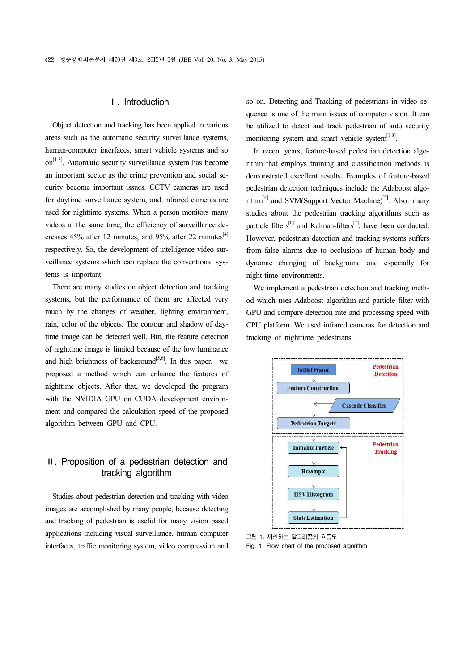#### Ⅰ. Introduction

Object detection and tracking has been applied in various areas such as the automatic security surveillance systems, human-computer interfaces, smart vehicle systems and so on<sup>[1-3]</sup>. Automatic security surveillance system has become an important sector as the crime prevention and social se curity become important issues. CCTV cameras are used for daytime surveillance system, and infrared cameras are used for nighttime systems. When a person monitors many videos at the same time, the efficiency of surveillance de creases 45% after 12 minutes, and 95% after 22 minutes[4] respectively. So, the development of intelligence video sur veillance systems which can replace the conventional systems is important.

There are many studies on object detection and tracking systems, but the performance of them are affected very much by the changes of weather, lighting environment, rain, color of the objects. The contour and shadow of daytime image can be detected well. But, the feature detection of nighttime image is limited because of the low luminance and high brightness of background<sup>[5,6]</sup>. In this paper, we proposed a method which can enhance the features of nighttime objects. After that, we developed the program with the NVIDIA GPU on CUDA development environ ment and compared the calculation speed of the proposed algorithm between GPU and CPU.

## Ⅱ. Proposition of a pedestrian detection and tracking algorithm

Studies about pedestrian detection and tracking with video images are accomplished by many people, because detecting and tracking of pedestrian is useful for many vision based applications including visual surveillance, human computer interfaces, traffic monitoring system, video compression and so on. Detecting and Tracking of pedestrians in video se quence is one of the main issues of computer vision. It can be utilized to detect and track pedestrian of auto security monitoring system and smart vehicle system $[1-3]$ .<br>In recent years, feature-based pedestrian detection algo-

rithm that employs training and classification methods is demonstrated excellent results. Examples of feature-based pedestrian detection techniques include the Adaboost algorithm<sup>[4]</sup> and SVM(Support Vector Machine)<sup>[5]</sup>. Also many studies about the pedestrian tracking algorithms such as particle filters<sup>[6]</sup> and Kalman-filters<sup>[7]</sup>, have been conducted. However, pedestrian detection and tracking systems suffers from false alarms due to occlusions of human body and dynamic changing of background and especially for night-time environments.

We implement a pedestrian detection and tracking meth od which uses Adaboost algorithm and particle filter with GPU and compare detection rate and processing speed with CPU platform. We used infrared cameras for detection and tracking of nighttime pedestrians.



그림 1. 제안하는 알고리즘의 흐름도

Fig. 1. Flow chart of the proposed algorithm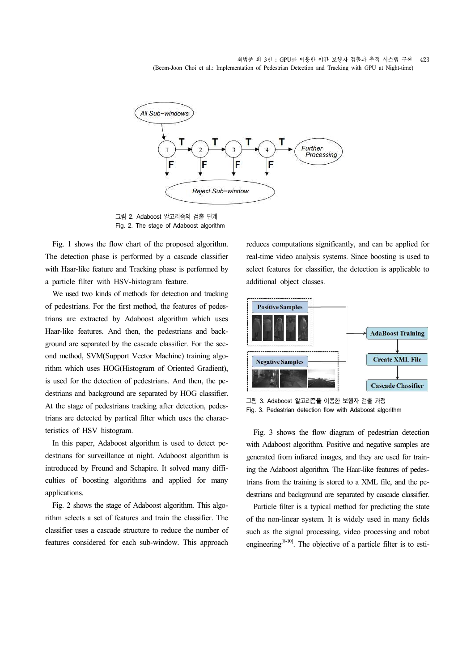

그림 2. Adaboost 알고리즘의 검출 단계 Fig. 2. The stage of Adaboost algorithm

Fig. 1 shows the flow chart of the proposed algorithm. The detection phase is performed by a cascade classifier with Haar-like feature and Tracking phase is performed by a particle filter with HSV-histogram feature.

We used two kinds of methods for detection and tracking of pedestrians. For the first method, the features of pedestrians are extracted by Adaboost algorithm which uses Haar-like features. And then, the pedestrians and back ground are separated by the cascade classifier. For the sec ond method, SVM(Support Vector Machine) training algorithm which uses HOG(Histogram of Oriented Gradient), is used for the detection of pedestrians. And then, the pe destrians and background are separated by HOG classifier. At the stage of pedestrians tracking after detection, pedestrians are detected by partical filter which uses the characteristics of HSV histogram.

In this paper, Adaboost algorithm is used to detect pe destrians for surveillance at night. Adaboost algorithm is introduced by Freund and Schapire. It solved many diffi culties of boosting algorithms and applied for many applications.

Fig. 2 shows the stage of Adaboost algorithm. This algorithm selects a set of features and train the classifier. The classifier uses a cascade structure to reduce the number of features considered for each sub-window. This approach

reduces computations significantly, and can be applied for real-time video analysis systems. Since boosting is used to select features for classifier, the detection is applicable to additional object classes.



그림 3. Adaboost 알고리즘을 이용한 보행자 검출 과정 Fig. 3. Pedestrian detection flow with Adaboost algorithm

Fig. 3 shows the flow diagram of pedestrian detection with Adaboost algorithm. Positive and negative samples are generated from infrared images, and they are used for training the Adaboost algorithm. The Haar-like features of pedestrians from the training is stored to a XML file, and the pe destrians and background are separated by cascade classifier.

Particle filter is a typical method for predicting the state of the non-linear system. It is widely used in many fields such as the signal processing, video processing and robot engineering<sup>[8-10]</sup>. The objective of a particle filter is to esti-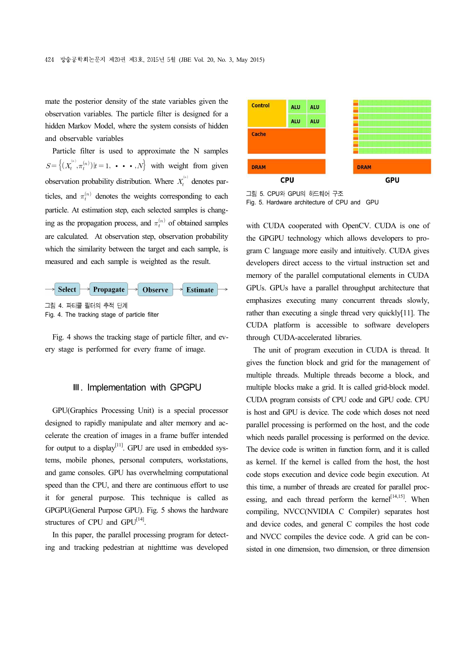mate the posterior density of the state variables given the observation variables. The particle filter is designed for a hidden Markov Model, where the system consists of hidden and observable variables

Particle filter is used to approximate the N samples  $S = \{(X_t^{(n)}, \pi_t^{(n)}) | t = 1, \cdots, N\}$  with weight from given observation probability distribution. Where  $X_t^{(n)}$  denotes particles, and  $\pi_t^{(n)}$  denotes the weights corresponding to each particle. At estimation step, each selected samples is changing as the propagation process, and  $\pi_t^{(n)}$  of obtained samples are calculated. At observation step, observation probability which the similarity between the target and each sample, is measured and each sample is weighted as the result.



Fig. 4 shows the tracking stage of particle filter, and ev ery stage is performed for every frame of image.

#### Ⅲ. Implementation with GPGPU

GPU(Graphics Processing Unit) is a special processor designed to rapidly manipulate and alter memory and ac celerate the creation of images in a frame buffer intended for output to a display<sup>[11]</sup>. GPU are used in embedded systems, mobile phones, personal computers, workstations, and game consoles. GPU has overwhelming computational speed than the CPU, and there are continuous effort to use it for general purpose. This technique is called as GPGPU(General Purpose GPU). Fig. 5 shows the hardware structures of CPU and  $GPU^{[14]}$ .<br>In this paper, the parallel processing program for detect-

ing and tracking pedestrian at nighttime was developed



그림 5. CPU와 GPU의 하드웨어 구조 Fig. 5. Hardware architecture of CPU and GPU

with CUDA cooperated with OpenCV. CUDA is one of the GPGPU technology which allows developers to pro gram C language more easily and intuitively. CUDA gives developers direct access to the virtual instruction set and memory of the parallel computational elements in CUDA GPUs. GPUs have a parallel throughput architecture that emphasizes executing many concurrent threads slowly, rather than executing a single thread very quickly[11]. The CUDA platform is accessible to software developers through CUDA-accelerated libraries.

The unit of program execution in CUDA is thread. It gives the function block and grid for the management of multiple threads. Multiple threads become a block, and multiple blocks make a grid. It is called grid-block model. CUDA program consists of CPU code and GPU code. CPU is host and GPU is device. The code which doses not need parallel processing is performed on the host, and the code which needs parallel processing is performed on the device. The device code is written in function form, and it is called as kernel. If the kernel is called from the host, the host code stops execution and device code begin execution. At this time, a number of threads are created for parallel proc essing, and each thread perform the kernel<sup>[14,15]</sup>. When compiling, NVCC(NVIDIA C Compiler) separates host and device codes, and general C compiles the host code and NVCC compiles the device code. A grid can be con sisted in one dimension, two dimension, or three dimension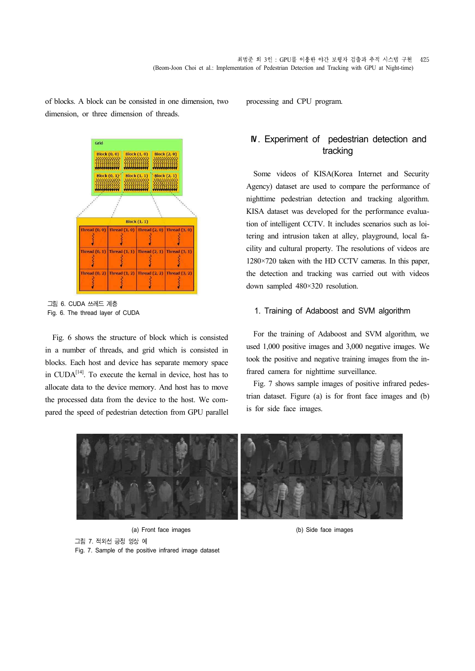of blocks. A block can be consisted in one dimension, two dimension, or three dimension of threads.



그림 6. CUDA 쓰레드 계층 Fig. 6. The thread layer of CUDA

Fig. 6 shows the structure of block which is consisted in a number of threads, and grid which is consisted in blocks. Each host and device has separate memory space in  $\text{CUDA}^{[14]}$ . To execute the kernal in device, host has to allocate data to the device memory. And host has to move the processed data from the device to the host. We com pared the speed of pedestrian detection from GPU parallel processing and CPU program.

## Ⅳ. Experiment of pedestrian detection and tracking

Some videos of KISA(Korea Internet and Security Agency) dataset are used to compare the performance of nighttime pedestrian detection and tracking algorithm. KISA dataset was developed for the performance evaluation of intelligent CCTV. It includes scenarios such as loitering and intrusion taken at alley, playground, local fa cility and cultural property. The resolutions of videos are 1280×720 taken with the HD CCTV cameras. In this paper, the detection and tracking was carried out with videos down sampled 480×320 resolution.

#### 1. Training of Adaboost and SVM algorithm

For the training of Adaboost and SVM algorithm, we used 1,000 positive images and 3,000 negative images. We took the positive and negative training images from the infrared camera for nighttime surveillance.

Fig. 7 shows sample images of positive infrared pedestrian dataset. Figure (a) is for front face images and (b) is for side face images.



(a) Front face images (b) Side face images 그림 7. 적외선 긍정 영상 예 Fig. 7. Sample of the positive infrared image dataset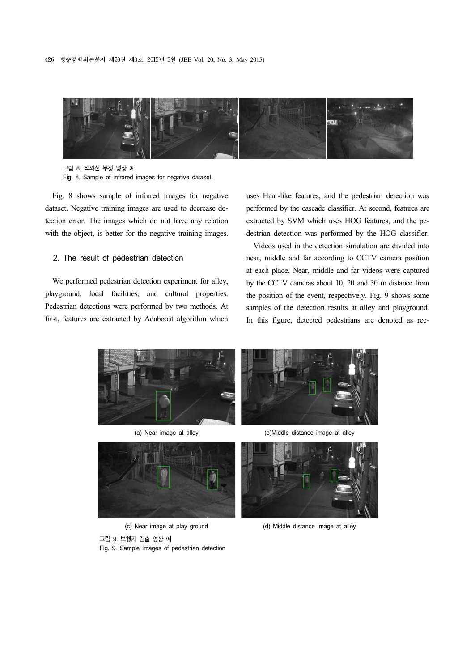

그림 8. 적외선 부정 영상 예 Fig. 8. Sample of infrared images for negative dataset.

Fig. 8 shows sample of infrared images for negative dataset. Negative training images are used to decrease detection error. The images which do not have any relation with the object, is better for the negative training images.

#### 2. The result of pedestrian detection

We performed pedestrian detection experiment for alley, playground, local facilities, and cultural properties. Pedestrian detections were performed by two methods. At first, features are extracted by Adaboost algorithm which

uses Haar-like features, and the pedestrian detection was performed by the cascade classifier. At second, features are extracted by SVM which uses HOG features, and the pe destrian detection was performed by the HOG classifier.

Videos used in the detection simulation are divided into near, middle and far according to CCTV camera position at each place. Near, middle and far videos were captured by the CCTV cameras about 10, 20 and 30 m distance from the position of the event, respectively. Fig. 9 shows some samples of the detection results at alley and playground. In this figure, detected pedestrians are denoted as rec-



(a) Near image at alley





(d) Middle distance image at alley

(c) Near image at play ground

그림 9. 보행자 검출 영상 예 Fig. 9. Sample images of pedestrian detection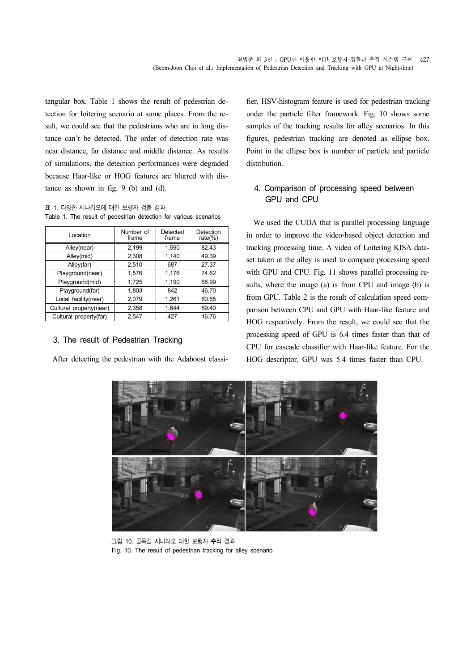tangular box. Table 1 shows the result of pedestrian detection for loitering scenario at some places. From the re sult, we could see that the pedestrians who are in long distance can't be detected. The order of detection rate was near distance, far distance and middle distance. As results of simulations, the detection performances were degraded because Haar-like or HOG features are blurred with distance as shown in fig. 9 (b) and (d).

표 1. 다양한 시나리오에 대한 보행자 검출 결과 Table 1. The result of pedestrian detection for various scenarios

| Location                | Number of<br>frame | Detected<br>frame | Detection<br>rate $(\%)$ |
|-------------------------|--------------------|-------------------|--------------------------|
| Alley(near)             | 2,199              | 1,590             | 82.43                    |
| Alley(mid)              | 2.308              | 1.140             | 49.39                    |
| Alley(far)              | 2,510              | 687               | 27.37                    |
| Playground(near)        | 1.576              | 1,176             | 74.62                    |
| Playground(mid)         | 1,725              | 1,190             | 68.99                    |
| Playground(far)         | 1,803              | 842               | 46.70                    |
| Local facility(near)    | 2,079              | 1,261             | 60.65                    |
| Cultural property(near) | 2,358              | 1.644             | 89.40                    |
| Cultural property(far)  | 2.547              | 427               | 16.76                    |

#### 3. The result of Pedestrian Tracking

After detecting the pedestrian with the Adaboost classi-

fier, HSV-histogram feature is used for pedestrian tracking under the particle filter framework. Fig. 10 shows some samples of the tracking results for alley scenarios. In this figures, pedestrian tracking are denoted as ellipse box. Point in the ellipse box is number of particle and particle distribution.

## 4. Comparison of processing speed between GPU and CPU

We used the CUDA that is parallel processing language in order to improve the video-based object detection and tracking processing time. A video of Loitering KISA data set taken at the alley is used to compare processing speed with GPU and CPU. Fig. 11 shows parallel processing re sults, where the image (a) is from CPU and image (b) is from GPU. Table 2 is the result of calculation speed com parison between CPU and GPU with Haar-like feature and HOG respectively. From the result, we could see that the processing speed of GPU is 6.4 times faster than that of CPU for cascade classifier with Haar-like feature. For the HOG descriptor, GPU was 5.4 times faster than CPU.



그림 10. 골목길 시니라오 대한 보행자 추적 결과 Fig. 10. The result of pedestrian tracking for alley scenario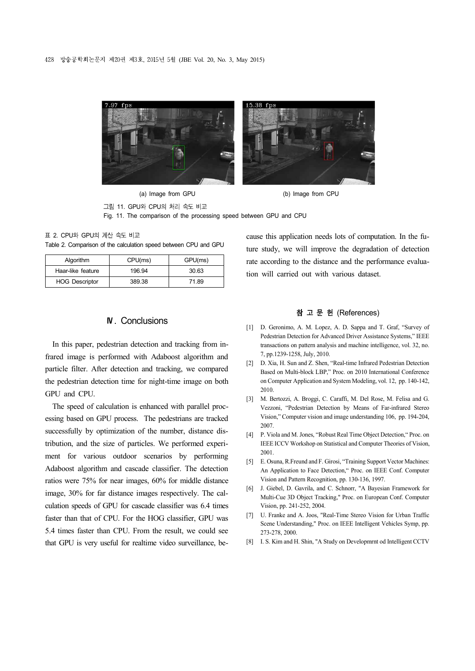

(a) Image from GPU (b) Image from CPU

그림 11. GPU와 CPU의 처리 속도 비교 Fig. 11. The comparison of the processing speed between GPU and CPU

표 2. CPU와 GPU의 계산 속도 비교 Table 2. Comparison of the calculation speed between CPU and GPU

| Algorithm             | CPU(ms) | GPU(ms) |
|-----------------------|---------|---------|
| Haar-like feature     | 196.94  | 30.63   |
| <b>HOG Descriptor</b> | 389.38  | 71.89   |

### Ⅳ. Conclusions

In this paper, pedestrian detection and tracking from infrared image is performed with Adaboost algorithm and particle filter. After detection and tracking, we compared the pedestrian detection time for night-time image on both GPU and CPU.

The speed of calculation is enhanced with parallel proc essing based on GPU process. The pedestrians are tracked successfully by optimization of the number, distance distribution, and the size of particles. We performed experi ment for various outdoor scenarios by performing Adaboost algorithm and cascade classifier. The detection ratios were 75% for near images, 60% for middle distance image, 30% for far distance images respectively. The cal culation speeds of GPU for cascade classifier was 6.4 times faster than that of CPU. For the HOG classifier, GPU was 5.4 times faster than CPU. From the result, we could see that GPU is very useful for realtime video surveillance, because this application needs lots of computation. In the future study, we will improve the degradation of detection rate according to the distance and the performance evaluation will carried out with various dataset.

#### 참 고 문 헌 (References)

- [1] D. Geronimo, A. M. Lopez, A. D. Sappa and T. Graf, "Survey of Pedestrian Detection for Advanced Driver Assistance Systems," IEEE transactions on pattern analysis and machine intelligence, vol. 32, no. 7, pp.1239-1258, July, 2010.
- [2] D. Xia, H. Sun and Z. Shen, "Real-time Infrared Pedestrian Detection Based on Multi-block LBP," Proc. on 2010 International Conference on Computer Application and System Modeling, vol. 12, pp. 140-142, 2010.
- [3] M. Bertozzi, A. Broggi, C. Caraffi, M. Del Rose, M. Felisa and G. Vezzoni, "Pedestrian Detection by Means of Far-infrared Stereo Vision," Computer vision and image understanding 106, pp. 194-204, 2007.
- [4] P. Viola and M. Jones, "Robust Real Time Object Detection," Proc. on IEEE ICCV Workshop on Statistical and Computer Theories of Vision, 2001.
- [5] E. Osuna, R.Freund and F. Girosi, "Training Support Vector Machines: An Application to Face Detection," Proc. on IEEE Conf. Computer Vision and Pattern Recognition, pp. 130-136, 1997.
- [6] J. Giebel, D. Gavrila, and C. Schnorr, "A Bayesian Framework for Multi-Cue 3D Object Tracking," Proc. on European Conf. Computer Vision, pp. 241-252, 2004.
- [7] U. Franke and A. Joos, "Real-Time Stereo Vision for Urban Traffic Scene Understanding," Proc. on IEEE Intelligent Vehicles Symp, pp. 273-278, 2000.
- [8] I. S. Kim and H. Shin, "A Study on Developmrnt od Intelligent CCTV